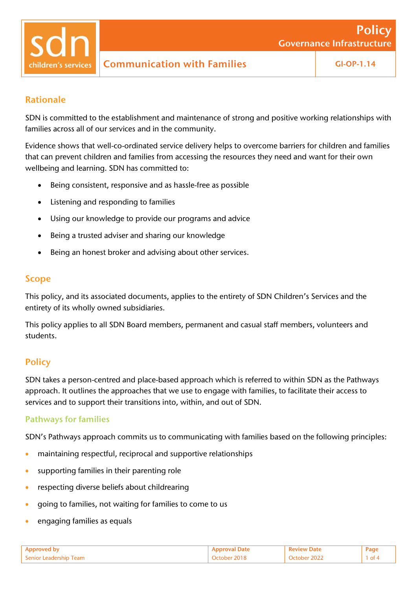

# Rationale

SDN is committed to the establishment and maintenance of strong and positive working relationships with families across all of our services and in the community.

Evidence shows that well-co-ordinated service delivery helps to overcome barriers for children and families that can prevent children and families from accessing the resources they need and want for their own wellbeing and learning. SDN has committed to:

- Being consistent, responsive and as hassle-free as possible
- Listening and responding to families
- Using our knowledge to provide our programs and advice
- Being a trusted adviser and sharing our knowledge
- Being an honest broker and advising about other services.

# Scope

This policy, and its associated documents, applies to the entirety of SDN Children's Services and the entirety of its wholly owned subsidiaries.

This policy applies to all SDN Board members, permanent and casual staff members, volunteers and students.

# **Policy**

SDN takes a person-centred and place-based approach which is referred to within SDN as the Pathways approach. It outlines the approaches that we use to engage with families, to facilitate their access to services and to support their transitions into, within, and out of SDN.

## Pathways for families

SDN's Pathways approach commits us to communicating with families based on the following principles:

- maintaining respectful, reciprocal and supportive relationships
- supporting families in their parenting role
- respecting diverse beliefs about childrearing
- going to families, not waiting for families to come to us
- engaging families as equals

| $S$ enior L |  |  |
|-------------|--|--|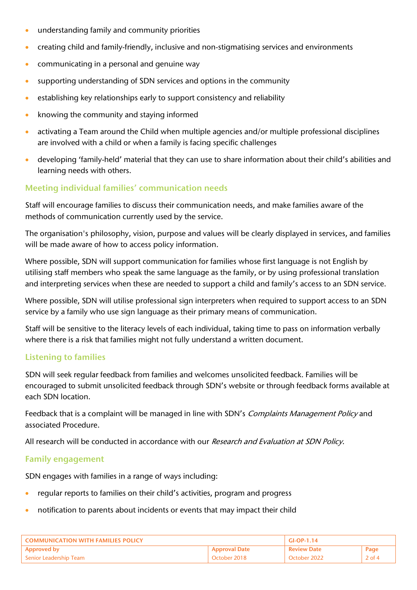- understanding family and community priorities
- creating child and family-friendly, inclusive and non-stigmatising services and environments
- communicating in a personal and genuine way
- supporting understanding of SDN services and options in the community
- establishing key relationships early to support consistency and reliability
- knowing the community and staying informed
- activating a Team around the Child when multiple agencies and/or multiple professional disciplines are involved with a child or when a family is facing specific challenges
- developing 'family-held' material that they can use to share information about their child's abilities and learning needs with others.

# Meeting individual families' communication needs

Staff will encourage families to discuss their communication needs, and make families aware of the methods of communication currently used by the service.

The organisation's philosophy, vision, purpose and values will be clearly displayed in services, and families will be made aware of how to access policy information.

Where possible, SDN will support communication for families whose first language is not English by utilising staff members who speak the same language as the family, or by using professional translation and interpreting services when these are needed to support a child and family's access to an SDN service.

Where possible, SDN will utilise professional sign interpreters when required to support access to an SDN service by a family who use sign language as their primary means of communication.

Staff will be sensitive to the literacy levels of each individual, taking time to pass on information verbally where there is a risk that families might not fully understand a written document.

## Listening to families

SDN will seek regular feedback from families and welcomes unsolicited feedback. Families will be encouraged to submit unsolicited feedback through SDN's website or through feedback forms available at each SDN location.

Feedback that is a complaint will be managed in line with SDN's Complaints Management Policy and associated Procedure.

All research will be conducted in accordance with our Research and Evaluation at SDN Policy.

## Family engagement

SDN engages with families in a range of ways including:

- regular reports to families on their child's activities, program and progress
- notification to parents about incidents or events that may impact their child

| <b>COMMUNICATION WITH FAMILIES POLICY</b> |                      | $GI-OP-1.14$       |        |
|-------------------------------------------|----------------------|--------------------|--------|
| <b>Approved by</b>                        | <b>Approval Date</b> | <b>Review Date</b> | Page   |
| Senior Leadership Team                    | October 2018.        | October 2022       | 2 of 4 |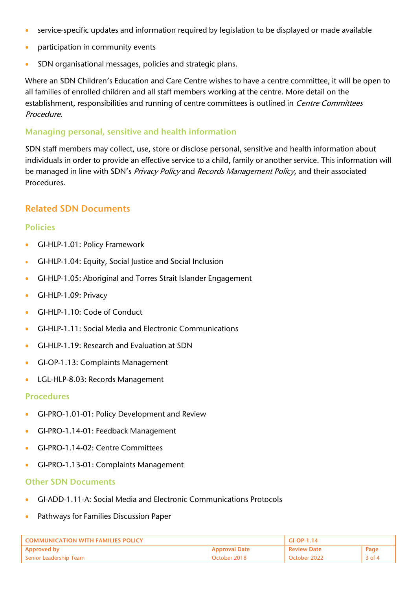- service-specific updates and information required by legislation to be displayed or made available
- participation in community events
- SDN organisational messages, policies and strategic plans.

Where an SDN Children's Education and Care Centre wishes to have a centre committee, it will be open to all families of enrolled children and all staff members working at the centre. More detail on the establishment, responsibilities and running of centre committees is outlined in Centre Committees Procedure.

## Managing personal, sensitive and health information

SDN staff members may collect, use, store or disclose personal, sensitive and health information about individuals in order to provide an effective service to a child, family or another service. This information will be managed in line with SDN's Privacy Policy and Records Management Policy, and their associated Procedures.

# Related SDN Documents

#### Policies

- GI-HLP-1.01: Policy Framework
- GI-HLP-1.04: Equity, Social Justice and Social Inclusion
- GI-HLP-1.05: Aboriginal and Torres Strait Islander Engagement
- GI-HLP-1.09: Privacy
- GI-HLP-1.10: Code of Conduct
- GI-HLP-1.11: Social Media and Electronic Communications
- GI-HLP-1.19: Research and Evaluation at SDN
- GI-OP-1.13: Complaints Management
- LGL-HLP-8.03: Records Management

#### Procedures

- GI-PRO-1.01-01: Policy Development and Review
- GI-PRO-1.14-01: Feedback Management
- GI-PRO-1.14-02: Centre Committees
- GI-PRO-1.13-01: Complaints Management

#### Other SDN Documents

- GI-ADD-1.11-A: Social Media and Electronic Communications Protocols
- Pathways for Families Discussion Paper

| <b>COMMUNICATION WITH FAMILIES POLICY</b> |                      | $G$ I-OP-1.14      |          |
|-------------------------------------------|----------------------|--------------------|----------|
| <b>Approved by</b>                        | <b>Approval Date</b> | <b>Review Date</b> | Page     |
| Senior Leadership Team                    | October 2018         | October 2022       | $3$ of 4 |